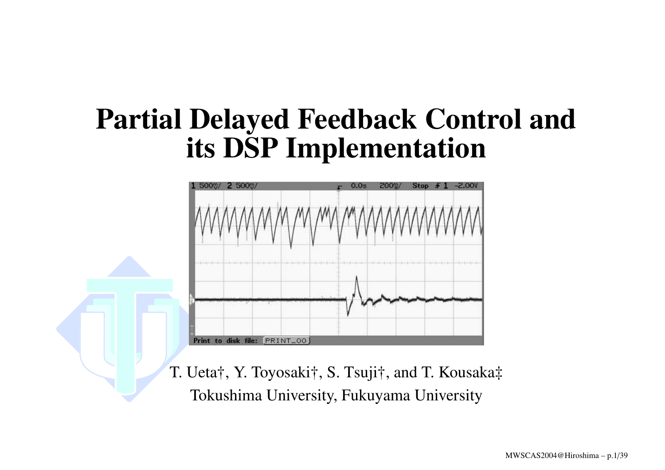### **Partial Delayed Feedback Control and its DSP Implementation**



T. Ueta†, Y. Toyosaki†, S. Tsuji†, and T. Kousaka‡ Tokushima University, Fukuyama University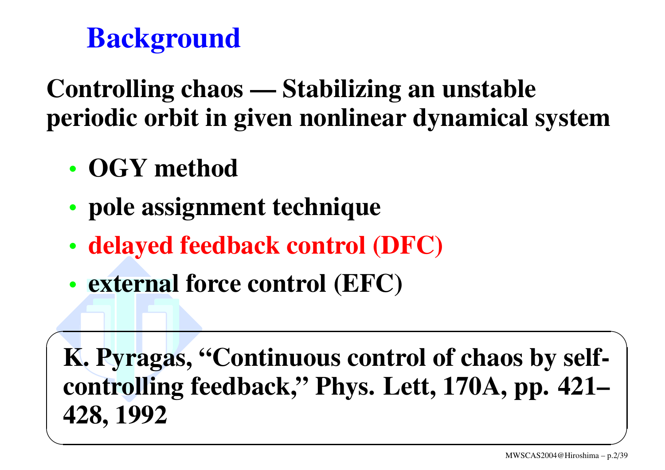## **Background**

### **Controlling chaos — Stabilizing an unstable periodic orbit in given nonlinear dynamical system**

- **OGY method**
- •**pole assignment technique**
- •**delayed feedback control (DFC)**
- **external force control (EFC)**

 $\sqrt{2}$ **K. Pyragas, "Continuous control of chaos by selfcontrolling feedback," Phys. Lett, 170A, pp. 421– 428, <sup>1992</sup>** ✒ $\mathcal{S}$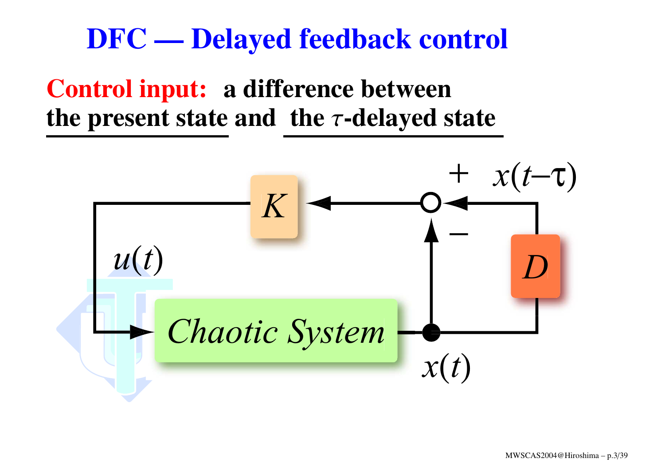### **DFC — Delayed feedback control**

#### **Control input: <sup>a</sup> difference between the present state and the** <sup>τ</sup>**-delayed state**

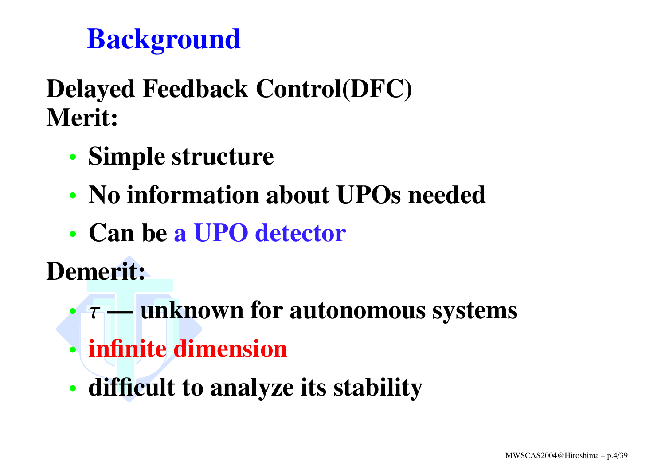## **Background**

### **Delayed Feedback Control(DFC) Merit:**

- •**Simple structure**
- **No information about UPOs needed**
- **Can be <sup>a</sup> UPO detector**

**Demerit:**

- τ **— unknown for autonomous systems**
- **infinite dimension**
- **difficult to analyze its stability**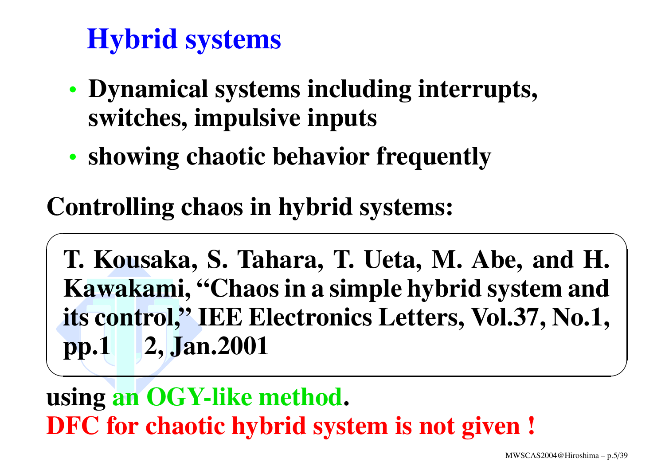## **Hybrid systems**

- • **Dynamical systems including interrupts, switches, impulsive inputs**
- •**showing chaotic behavior frequently**

### **Controlling chaos in hybrid systems:**

 $\sqrt{2\pi}$ **T. Kousaka, S. Tahara, T. Ueta, M. Abe, and H. Kawakami, "Chaos in <sup>a</sup> simple hybrid system and its control," IEE Electronics Letters, Vol.37, No.1, pp.<sup>1</sup> 2, Jan.2001** ✒<u>Experimental de la companya de la companya de la companya de la companya de la companya de la companya de la compa</u>

**using an OGY-like method. DFC for chaotic hybrid system is not given !**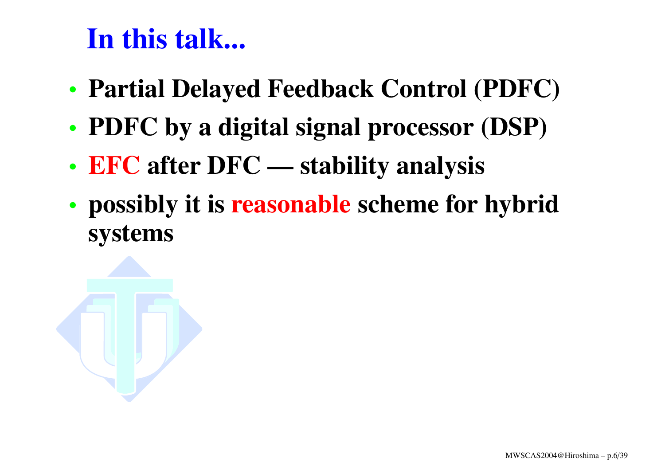## **In this talk...**

- •**Partial Delayed Feedback Control (PDFC)**
- **PDFC by <sup>a</sup> digital signal processor (DSP)**
- **EFC after DFC — stability analysis**
- • **possibly it is reasonable scheme for hybrid systems**

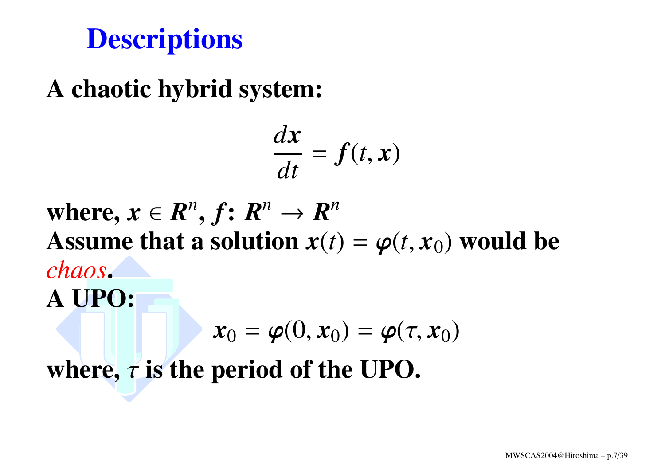## **Descriptions**

### **A chaotic hybrid system:**

$$
\frac{dx}{dt} = f(t, x)
$$

where,  $x \in \mathbb{R}^n$ ,  $f: \mathbb{R}^n \to \mathbb{R}^n$ Assume that a solution  $x(t) = \varphi(t, x_0)$  would be *chaos***. A UPO:**  $\boldsymbol{x}_0 = \boldsymbol{\varphi}(0, \boldsymbol{x}_0) = \boldsymbol{\varphi}(\tau, \boldsymbol{x}_0)$ 

**where,**  $\tau$  **is the period of the UPO.**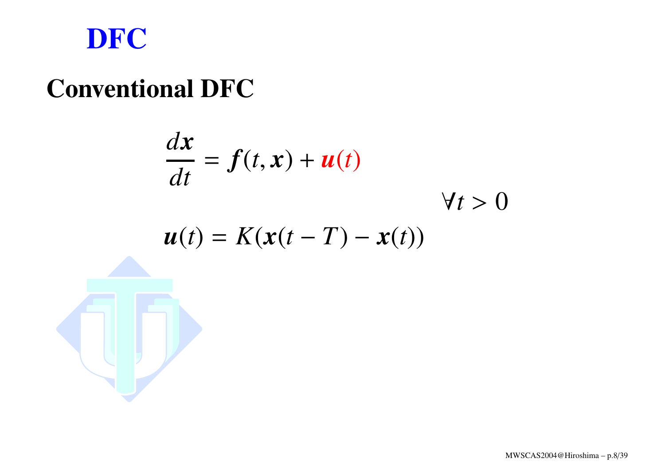

#### **Conventional DFC**

$$
\frac{dx}{dt} = f(t, x) + u(t)
$$
  

$$
u(t) = K(x(t - T) - x(t))
$$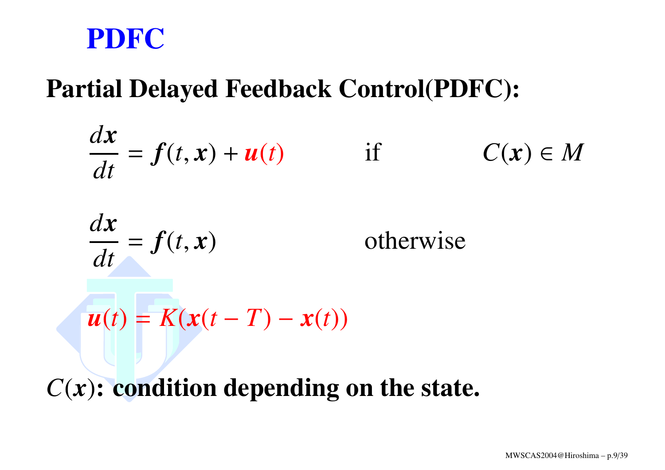#### **PDFC**

#### **Partial Delayed Feedback Control(PDFC):**

$$
\frac{dx}{dt} = f(t, x) + u(t) \qquad \text{if} \qquad C(x) \in M
$$
  

$$
\frac{dx}{dt} = f(t, x) \qquad \text{otherwise}
$$
  

$$
u(t) = K(x(t - T) - x(t))
$$

*C*(*x*)**: condition depending on the state.**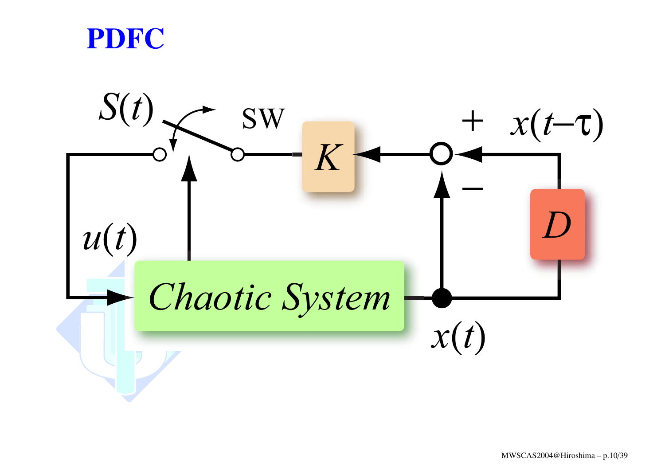

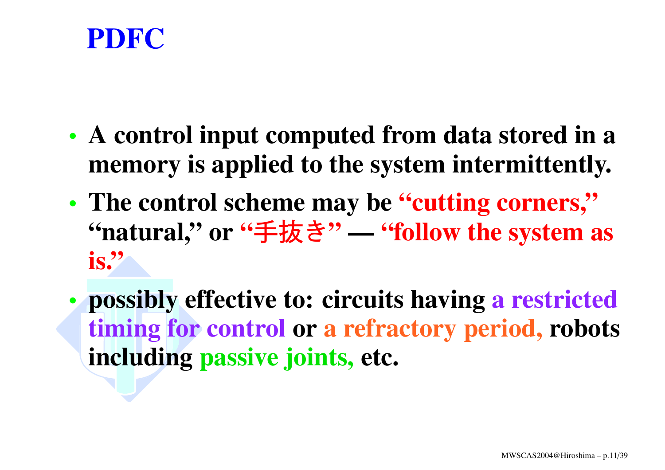

- **A control input computed from data stored in <sup>a</sup> memory is applied to the system intermittently.**
- **The control scheme may be "cutting corners," "natural," or "**手抜き **" — "follow the system as is."**
- • **possibly effective to: circuits having <sup>a</sup> restricted timing for control or <sup>a</sup> refractory period, robots including passive joints, etc.**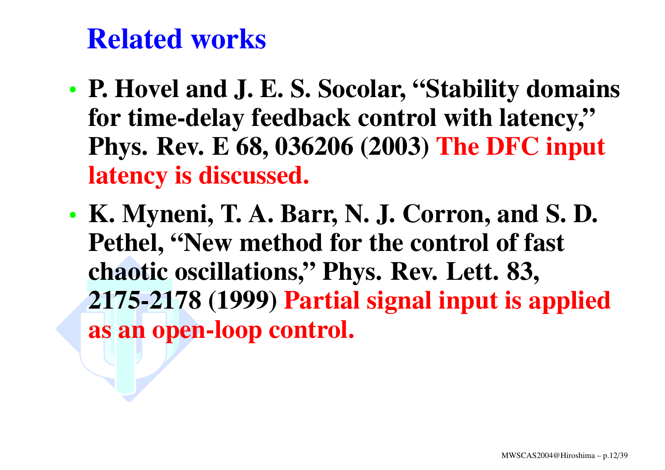## **Related works**

- **P. Hovel and J. E. S. Socolar, "Stability domains for time-delay feedback control with latency," Phys. Rev. E 68, 036206 (2003) The DFC input latency is discussed.**
- • **K. Myneni, T. A. Barr, N. J. Corron, and S. D. Pethel, "New method for the control of fast chaotic oscillations," Phys. Rev. Lett. 83, 2175-2178 (1999) Partial signal input is applied as an open-loop control.**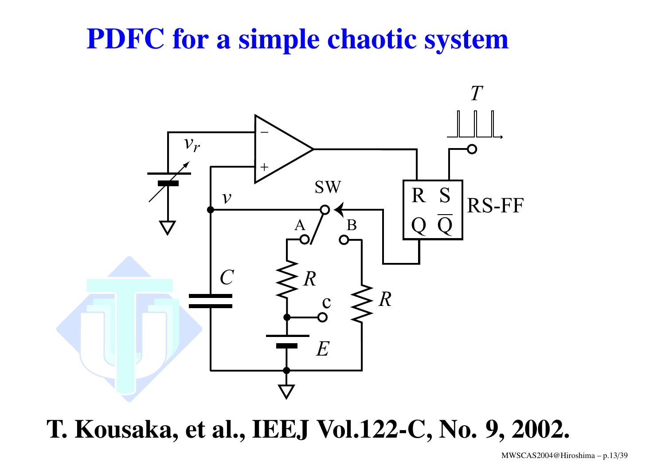## **PDFC for <sup>a</sup> simple chaotic system**



**T. Kousaka, et al., IEEJ Vol.122-C, No. 9, 2002.**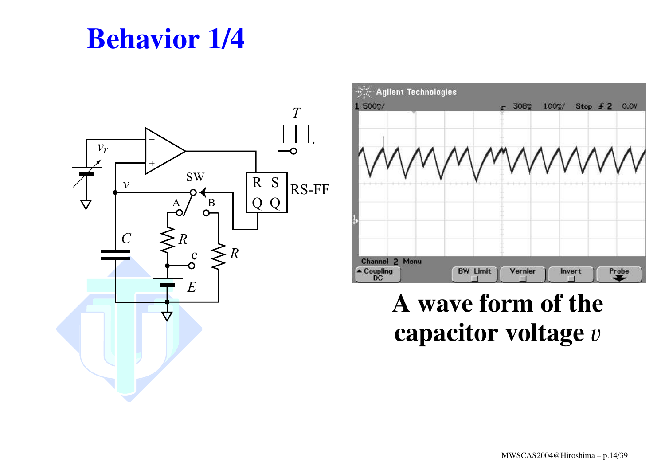## **Behavior 1/4**





#### **A wave form of the capacitor voltage** <sup>v</sup>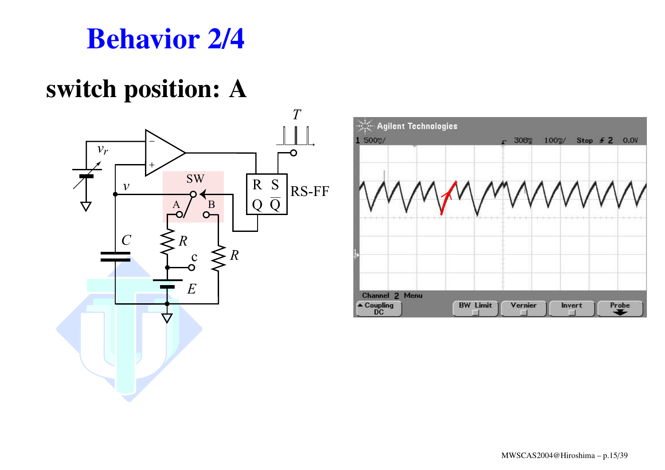

#### **switch position: A**



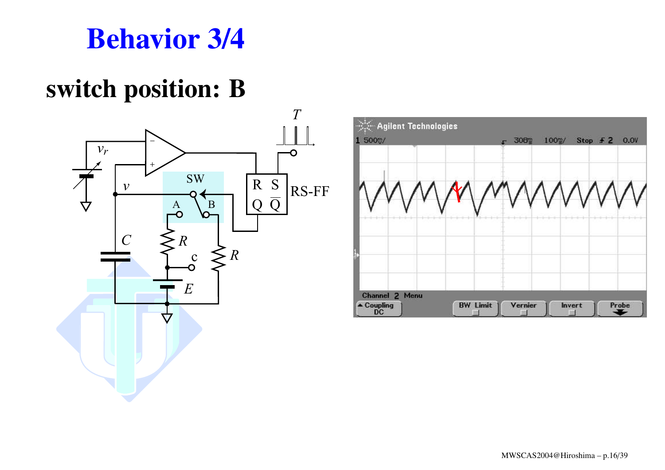### **Behavior 3/4**

### **switch position: B**



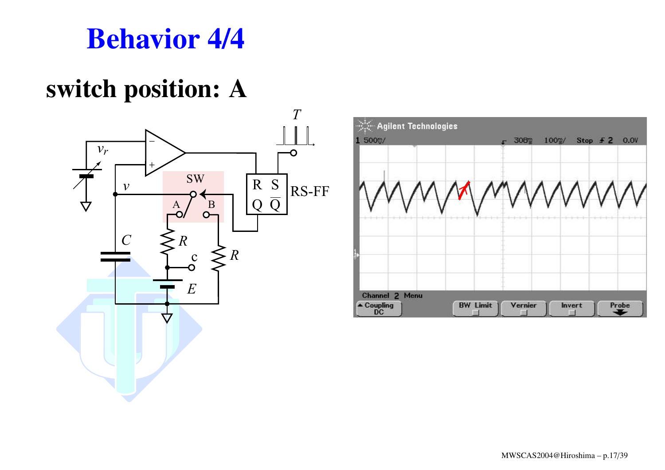### **Behavior 4/4**

### **switch position: A**



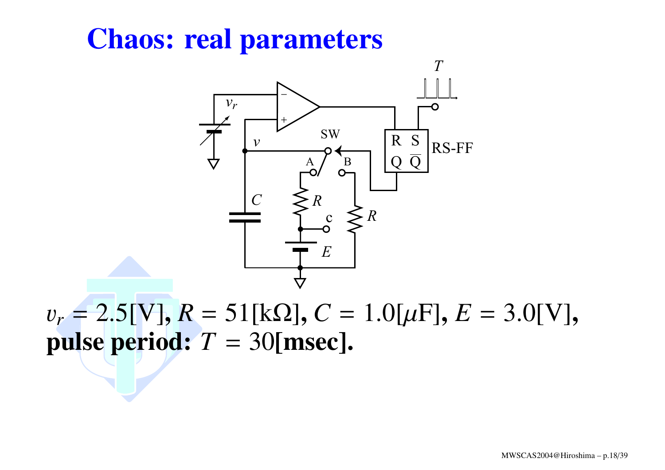## **Chaos: real parameters**



v*r* <sup>=</sup> 2.5[V]**,** *R* <sup>=</sup> 51[kΩ]**,** *C* <sup>=</sup> 1.0[µF]**,** *E* <sup>=</sup> 3.0[V]**, pulse period:**  $T = 30$  [msec].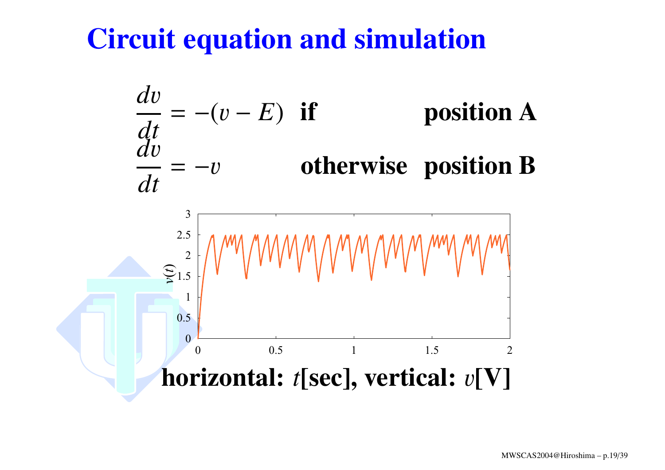## **Circuit equation and simulation**

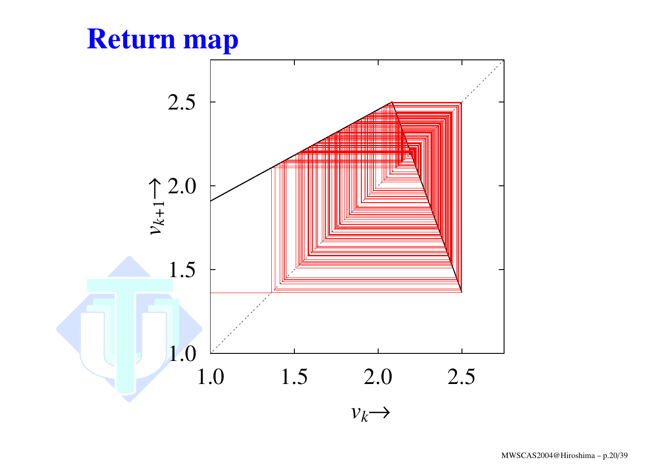### **Return map**

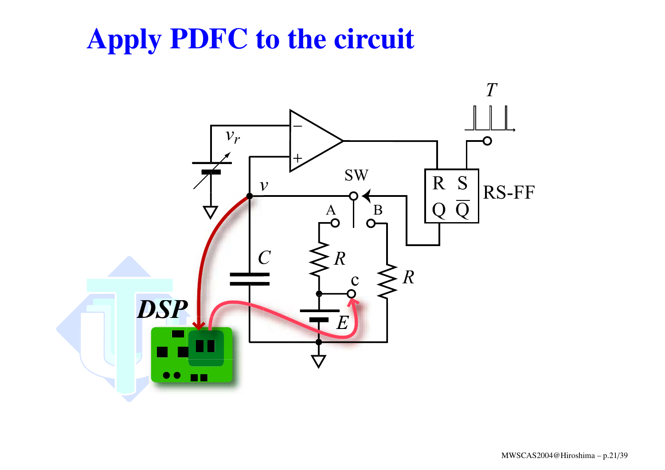## **Apply PDFC to the circuit**

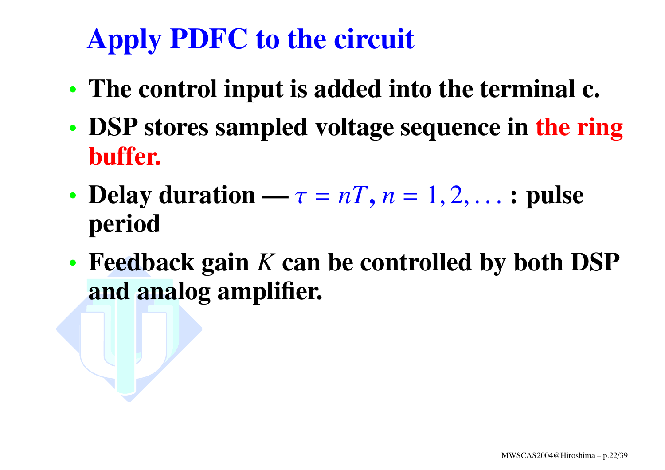# **Apply PDFC to the circuit**

- **The control input is added into the terminal c.**
- **DSP stores sampled voltage sequence in the ring buffer.**
- •• **Delay duration** —  $\tau = nT$ ,  $n = 1, 2, \ldots$  **: pulse period**
- **Feedback gain** *K* **can be controlled by both DSP and analog amplifier.**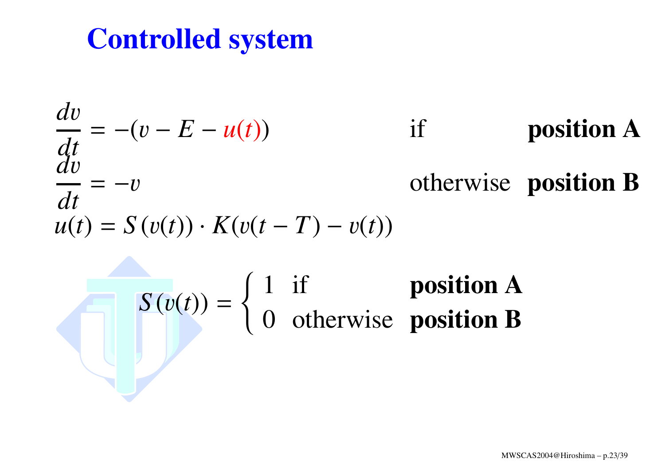## **Controlled system**

$$
\frac{dv}{dt} = -(v - E - u(t)) \qquad \text{if} \qquad \text{position A}
$$
  
\n
$$
\frac{dv}{dt} = -v \qquad \text{otherwise} \text{ position B}
$$
  
\n
$$
u(t) = S(v(t)) \cdot K(v(t - T) - v(t))
$$
  
\n
$$
S(v(t)) = \begin{cases} 1 & \text{if} \qquad \text{position A} \\ 0 & \text{otherwise} \text{ position B} \end{cases}
$$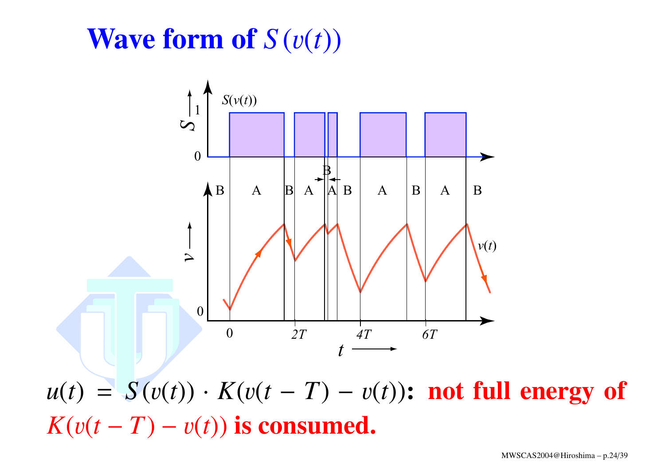## **Wave form of** *S* (v(*t*))



 $u(t) = S(v(t)) \cdot K(v(t-T) - v(t))$ : **not full energy of**  $K(v(t-T) - v(t))$  is consumed.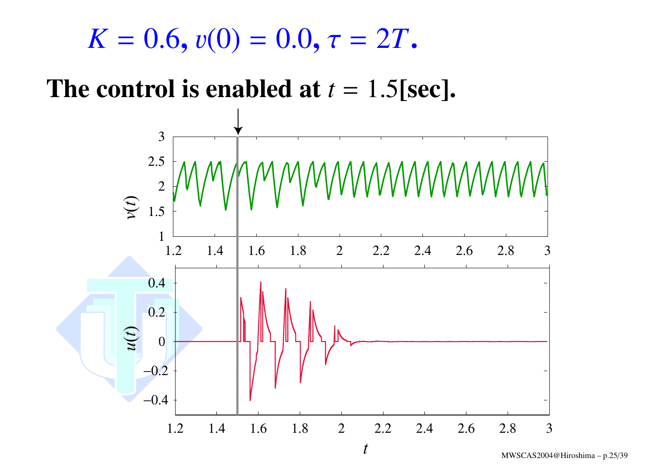$$
K=0.6, v(0)=0.0, \tau=2T.
$$

#### **The control is enabled at** *t* <sup>=</sup> 1.5**[sec].**

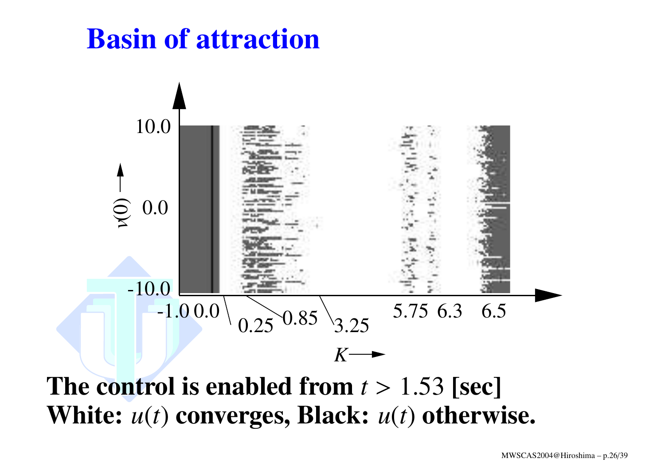## **Basin of attraction**



**The control is enabled from** *<sup>t</sup>* <sup>&</sup>gt; 1.53 **[sec] White:** *<sup>u</sup>*(*t*) **converges, Black:** *<sup>u</sup>*(*t*) **otherwise.**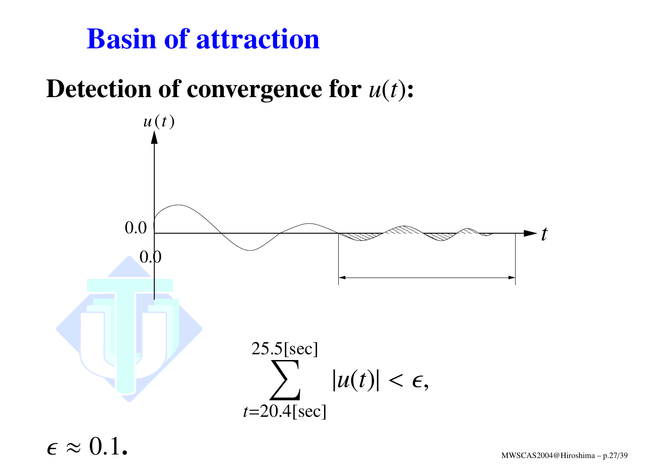## **Basin of attraction**

#### **Detection of convergence for** *<sup>u</sup>*(*t*)**:**



 $\epsilon \approx$  $\approx 0.1$  . MWSCAS2004@Hiroshima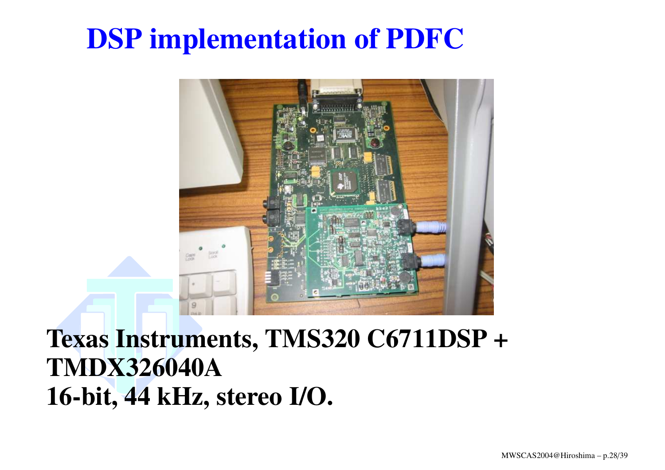

#### **Texas Instruments, TMS320 C6711DSP <sup>+</sup> TMDX326040A16-bit, 44 kHz, stereo I/O.**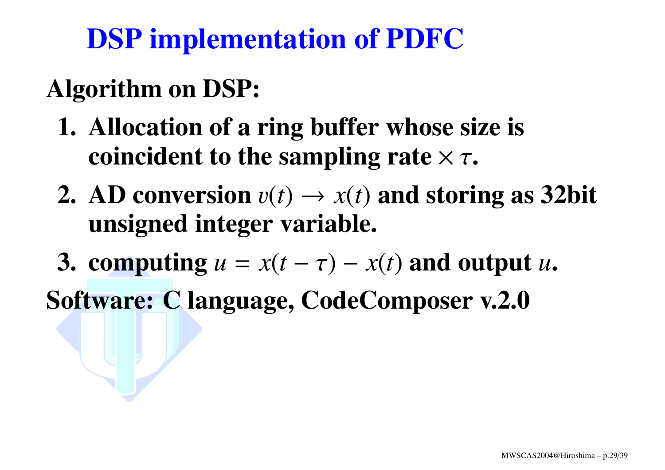## **Algorithm on DSP:**

- **1. Allocation of <sup>a</sup> ring buffer whose size is coincident to the sampling rate** <sup>×</sup> <sup>τ</sup>**.**
- **2.** AD conversion  $v(t) \rightarrow x(t)$  and storing as 32bit **unsigned integer variable.**
- **3. computing**  $u = x(t \tau) x(t)$  and output  $u$ .
- **Software: C language, CodeComposer v.2.0**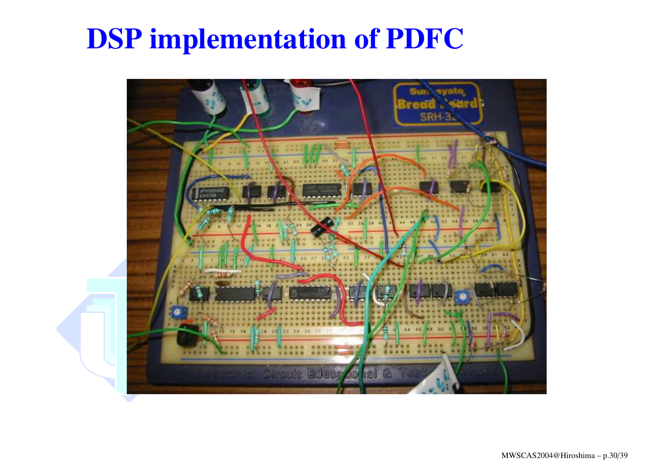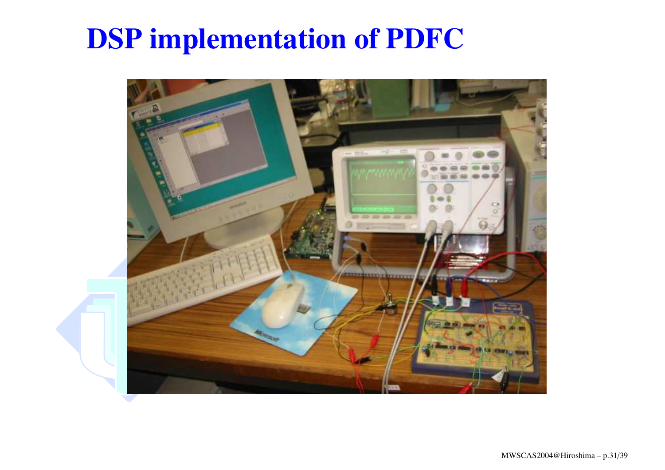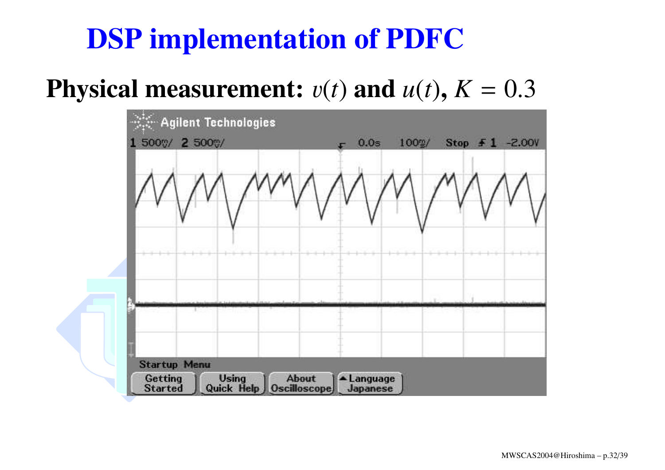#### **Physical measurement:**  $v(t)$  and  $u(t)$ ,  $K = 0.3$

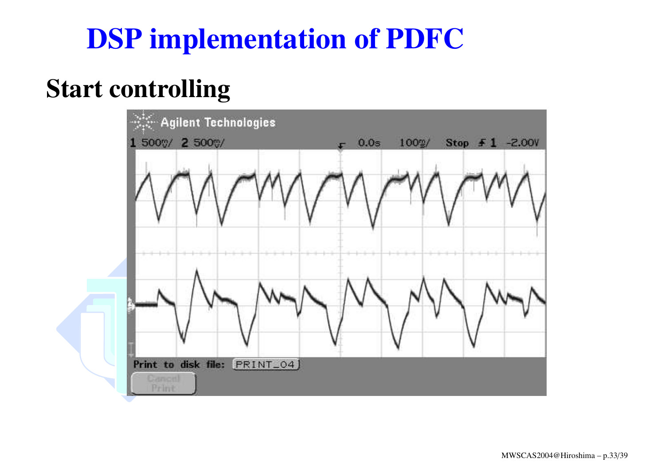#### **Start controlling**

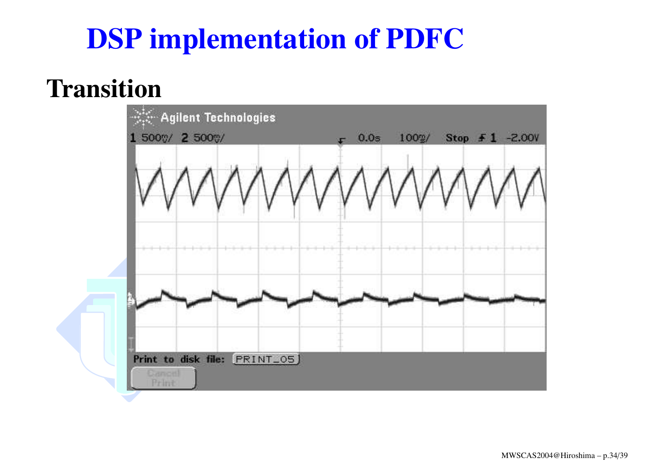#### **Transition**

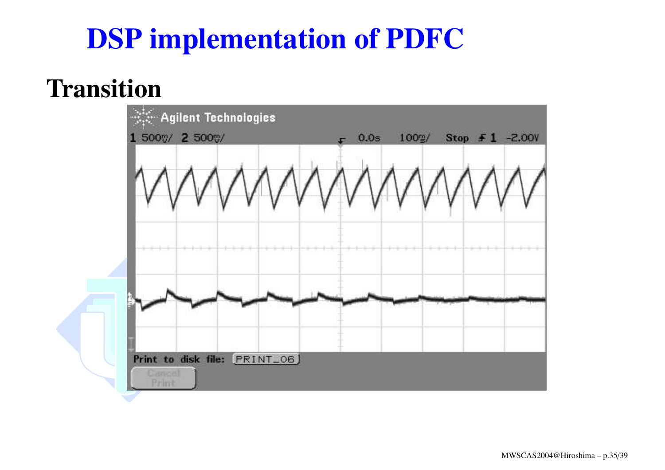#### **Transition**

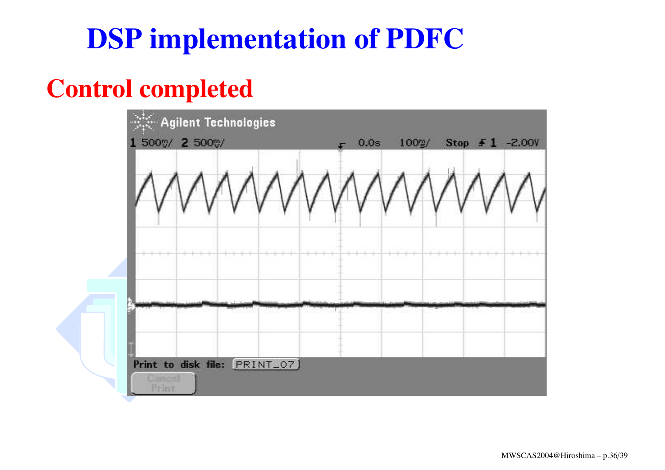#### **Control completed**

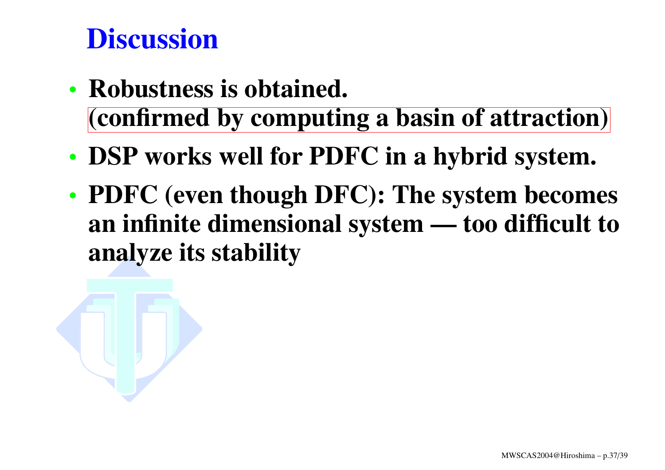## **Discussion**

- **Robustness is obtained. (confirmed by computing <sup>a</sup> basin of attraction)**
- **DSP works well for PDFC in <sup>a</sup> hybrid system.**
- **PDFC (even though DFC): The system becomes an infinite dimensional system — too difficult to analyze its stability**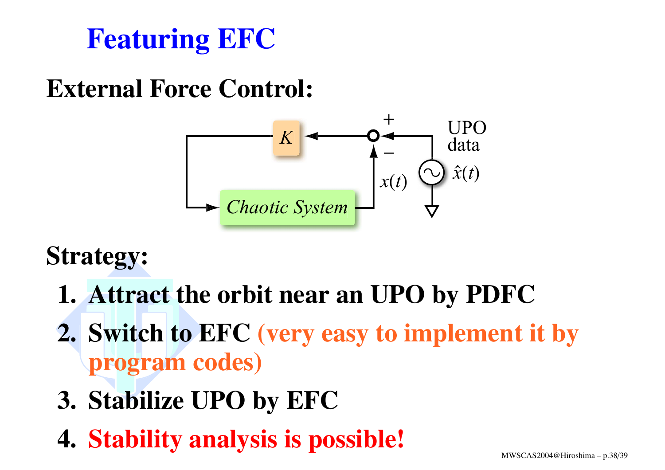## **Featuring EFC**

### **External Force Control:**



### **Strategy:**

- **1. Attract the orbit near an UPO by PDFC**
- **2. Switch to EFC (very easy to implement it by program codes)**
- **3. Stabilize UPO by EFC**
- **4. Stability analysis is possible!**